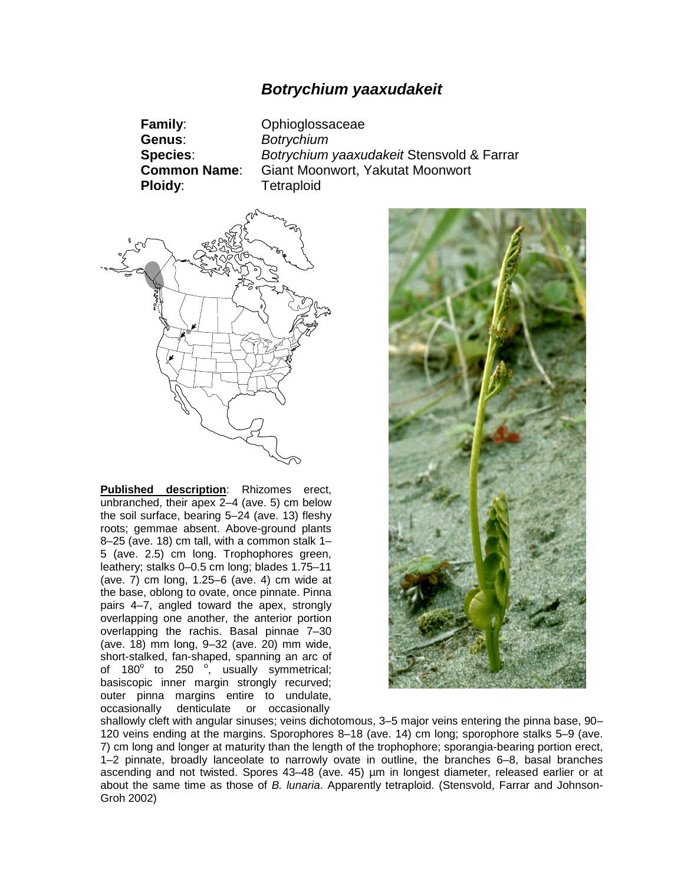# *Botrychium yaaxudakeit*

**Family**: Ophioglossaceae **Genus**: *Botrychium* **Species**: *Botrychium yaaxudakeit* Stensvold & Farrar **Common Name**: Giant Moonwort, Yakutat Moonwort **Ploidy**: Tetraploid



**Published description**: Rhizomes erect, unbranched, their apex 2–4 (ave. 5) cm below the soil surface, bearing 5–24 (ave. 13) fleshy roots; gemmae absent. Above-ground plants 8–25 (ave. 18) cm tall, with a common stalk 1– 5 (ave. 2.5) cm long. Trophophores green, leathery; stalks 0–0.5 cm long; blades 1.75–11 (ave. 7) cm long, 1.25–6 (ave. 4) cm wide at the base, oblong to ovate, once pinnate. Pinna pairs 4–7, angled toward the apex, strongly overlapping one another, the anterior portion overlapping the rachis. Basal pinnae 7–30 (ave. 18) mm long, 9–32 (ave. 20) mm wide, short-stalked, fan-shaped, spanning an arc of of 180 $^{\circ}$  to 250  $^{\circ}$ , usually symmetrical; basiscopic inner margin strongly recurved; outer pinna margins entire to undulate, occasionally denticulate or occasionally



shallowly cleft with angular sinuses; veins dichotomous, 3–5 major veins entering the pinna base, 90– 120 veins ending at the margins. Sporophores 8–18 (ave. 14) cm long; sporophore stalks 5–9 (ave. 7) cm long and longer at maturity than the length of the trophophore; sporangia-bearing portion erect, 1–2 pinnate, broadly lanceolate to narrowly ovate in outline, the branches 6–8, basal branches ascending and not twisted. Spores 43–48 (ave. 45) µm in longest diameter, released earlier or at about the same time as those of *B. lunaria*. Apparently tetraploid. (Stensvold, Farrar and Johnson-Groh 2002)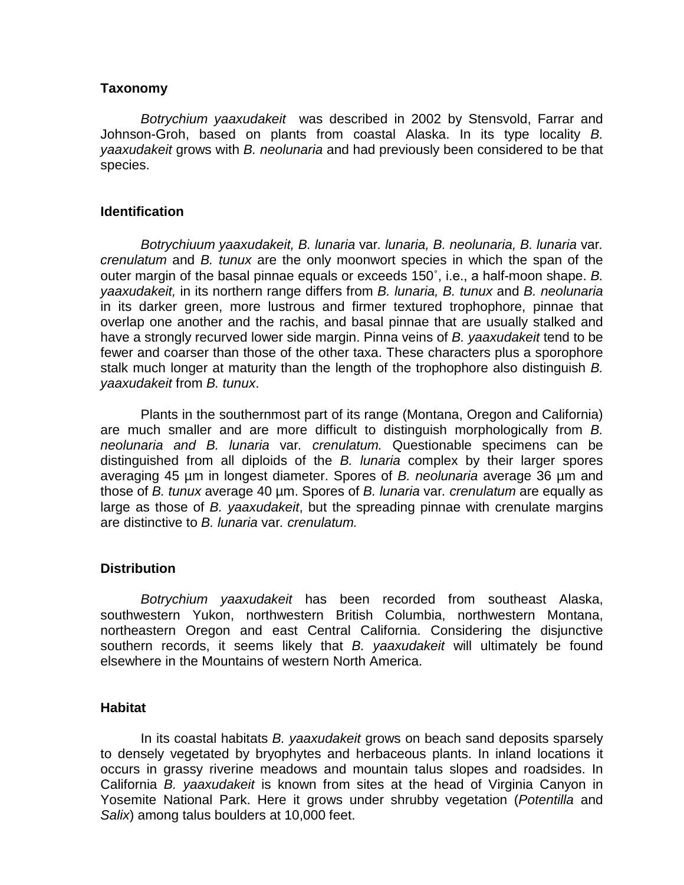### **Taxonomy**

*Botrychium yaaxudakeit* was described in 2002 by Stensvold, Farrar and Johnson-Groh, based on plants from coastal Alaska. In its type locality *B. yaaxudakeit* grows with *B. neolunaria* and had previously been considered to be that species.

### **Identification**

*Botrychiuum yaaxudakeit, B. lunaria* var*. lunaria, B. neolunaria, B. lunaria* var*. crenulatum* and *B. tunux* are the only moonwort species in which the span of the outer margin of the basal pinnae equals or exceeds 150˚, i.e., a half-moon shape. *B. yaaxudakeit,* in its northern range differs from *B. lunaria, B. tunux* and *B. neolunaria* in its darker green, more lustrous and firmer textured trophophore, pinnae that overlap one another and the rachis, and basal pinnae that are usually stalked and have a strongly recurved lower side margin. Pinna veins of *B. yaaxudakeit* tend to be fewer and coarser than those of the other taxa. These characters plus a sporophore stalk much longer at maturity than the length of the trophophore also distinguish *B. yaaxudakeit* from *B. tunux*.

Plants in the southernmost part of its range (Montana, Oregon and California) are much smaller and are more difficult to distinguish morphologically from *B. neolunaria and B. lunaria* var*. crenulatum.* Questionable specimens can be distinguished from all diploids of the *B. lunaria* complex by their larger spores averaging 45 µm in longest diameter. Spores of *B. neolunaria* average 36 µm and those of *B. tunux* average 40 µm. Spores of *B. lunaria* var*. crenulatum* are equally as large as those of *B. yaaxudakeit*, but the spreading pinnae with crenulate margins are distinctive to *B. lunaria* var*. crenulatum.*

## **Distribution**

*Botrychium yaaxudakeit* has been recorded from southeast Alaska, southwestern Yukon, northwestern British Columbia, northwestern Montana, northeastern Oregon and east Central California. Considering the disjunctive southern records, it seems likely that *B. yaaxudakeit* will ultimately be found elsewhere in the Mountains of western North America.

#### **Habitat**

In its coastal habitats *B. yaaxudakeit* grows on beach sand deposits sparsely to densely vegetated by bryophytes and herbaceous plants. In inland locations it occurs in grassy riverine meadows and mountain talus slopes and roadsides. In California *B. yaaxudakeit* is known from sites at the head of Virginia Canyon in Yosemite National Park. Here it grows under shrubby vegetation (*Potentilla* and *Salix*) among talus boulders at 10,000 feet.